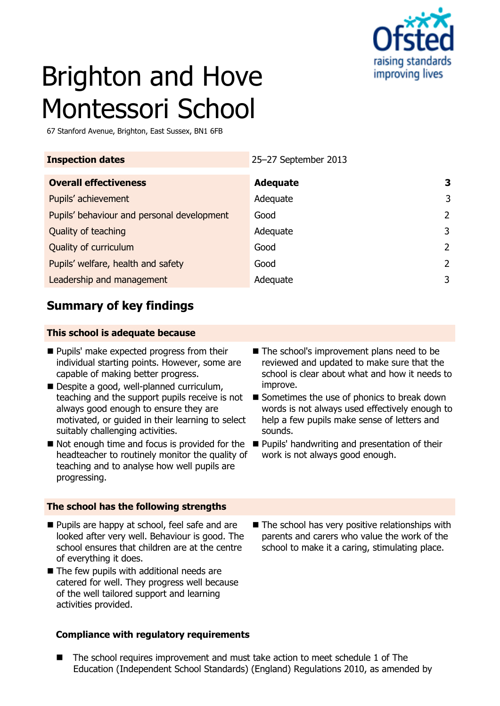

# Brighton and Hove Montessori School

67 Stanford Avenue, Brighton, East Sussex, BN1 6FB

| 25-27 September 2013 |   |
|----------------------|---|
| <b>Adequate</b>      | 3 |
| Adequate             | 3 |
| Good                 | 2 |
| Adequate             | 3 |
| Good                 | 2 |
| Good                 | 2 |
| Adequate             | 3 |
|                      |   |

## **Summary of key findings**

#### **This school is adequate because**

- **Pupils' make expected progress from their** individual starting points. However, some are capable of making better progress.
- Despite a good, well-planned curriculum, teaching and the support pupils receive is not always good enough to ensure they are motivated, or guided in their learning to select suitably challenging activities.
- $\blacksquare$  Not enough time and focus is provided for the headteacher to routinely monitor the quality of teaching and to analyse how well pupils are progressing.

#### **The school has the following strengths**

- **Pupils are happy at school, feel safe and are** looked after very well. Behaviour is good. The school ensures that children are at the centre of everything it does.
- The few pupils with additional needs are catered for well. They progress well because of the well tailored support and learning activities provided.

#### **Compliance with regulatory requirements**

- The school's improvement plans need to be reviewed and updated to make sure that the school is clear about what and how it needs to improve.
- Sometimes the use of phonics to break down words is not always used effectively enough to help a few pupils make sense of letters and sounds.
- **Pupils' handwriting and presentation of their** work is not always good enough.
- $\blacksquare$  The school has very positive relationships with parents and carers who value the work of the school to make it a caring, stimulating place.

■ The school requires improvement and must take action to meet schedule 1 of The Education (Independent School Standards) (England) Regulations 2010, as amended by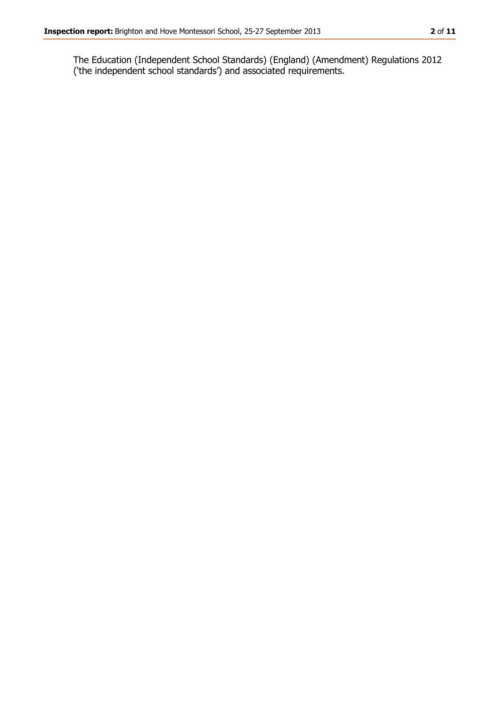The Education (Independent School Standards) (England) (Amendment) Regulations 2012 ('the independent school standards') and associated requirements.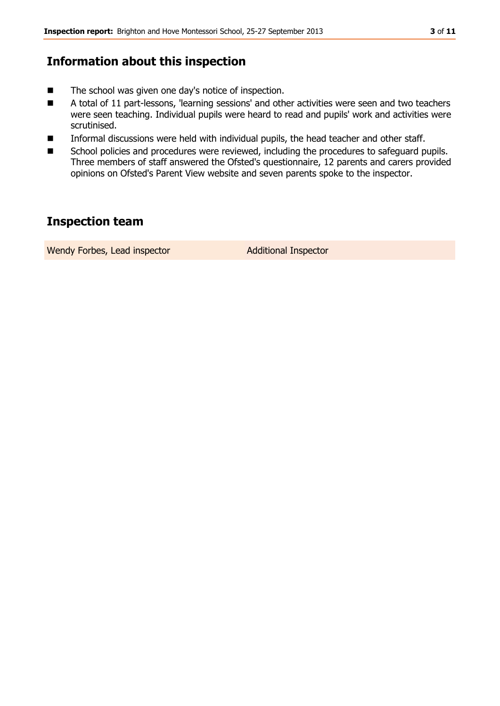## **Information about this inspection**

- The school was given one day's notice of inspection.
- A total of 11 part-lessons, 'learning sessions' and other activities were seen and two teachers were seen teaching. Individual pupils were heard to read and pupils' work and activities were scrutinised.
- Informal discussions were held with individual pupils, the head teacher and other staff.
- School policies and procedures were reviewed, including the procedures to safeguard pupils. Three members of staff answered the Ofsted's questionnaire, 12 parents and carers provided opinions on Ofsted's Parent View website and seven parents spoke to the inspector.

## **Inspection team**

Wendy Forbes, Lead inspector **Additional Inspector**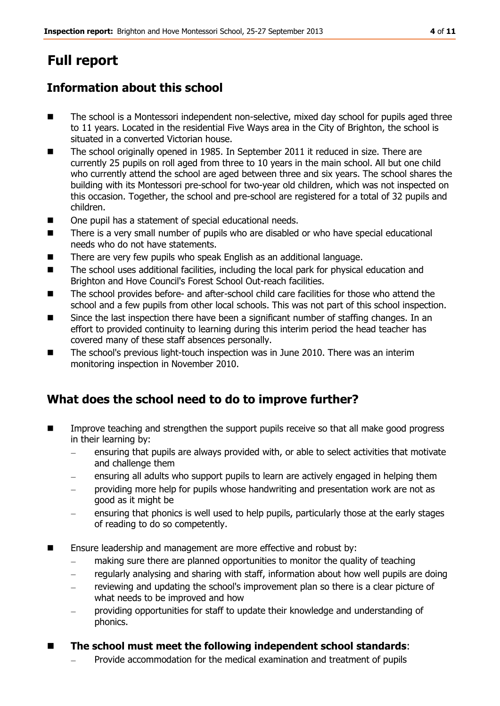# **Full report**

## **Information about this school**

- The school is a Montessori independent non-selective, mixed day school for pupils aged three to 11 years. Located in the residential Five Ways area in the City of Brighton, the school is situated in a converted Victorian house.
- The school originally opened in 1985. In September 2011 it reduced in size. There are currently 25 pupils on roll aged from three to 10 years in the main school. All but one child who currently attend the school are aged between three and six years. The school shares the building with its Montessori pre-school for two-year old children, which was not inspected on this occasion. Together, the school and pre-school are registered for a total of 32 pupils and children.
- One pupil has a statement of special educational needs.
- There is a very small number of pupils who are disabled or who have special educational needs who do not have statements.
- There are very few pupils who speak English as an additional language.
- The school uses additional facilities, including the local park for physical education and Brighton and Hove Council's Forest School Out-reach facilities.
- The school provides before- and after-school child care facilities for those who attend the school and a few pupils from other local schools. This was not part of this school inspection.
- Since the last inspection there have been a significant number of staffing changes. In an effort to provided continuity to learning during this interim period the head teacher has covered many of these staff absences personally.
- The school's previous light-touch inspection was in June 2010. There was an interim monitoring inspection in November 2010.

## **What does the school need to do to improve further?**

- **IMPROVE THE STREET IMPROVE THE SUPPORT STREET IM** make good progress **notify** in the support of the support of the support of that all make good progress in their learning by:
	- ensuring that pupils are always provided with, or able to select activities that motivate and challenge them
	- ensuring all adults who support pupils to learn are actively engaged in helping them
	- providing more help for pupils whose handwriting and presentation work are not as good as it might be
	- ensuring that phonics is well used to help pupils, particularly those at the early stages of reading to do so competently.
- **E** Ensure leadership and management are more effective and robust by:
	- making sure there are planned opportunities to monitor the quality of teaching
	- regularly analysing and sharing with staff, information about how well pupils are doing
	- reviewing and updating the school's improvement plan so there is a clear picture of what needs to be improved and how
	- providing opportunities for staff to update their knowledge and understanding of phonics.

#### **The school must meet the following independent school standards**:

Provide accommodation for the medical examination and treatment of pupils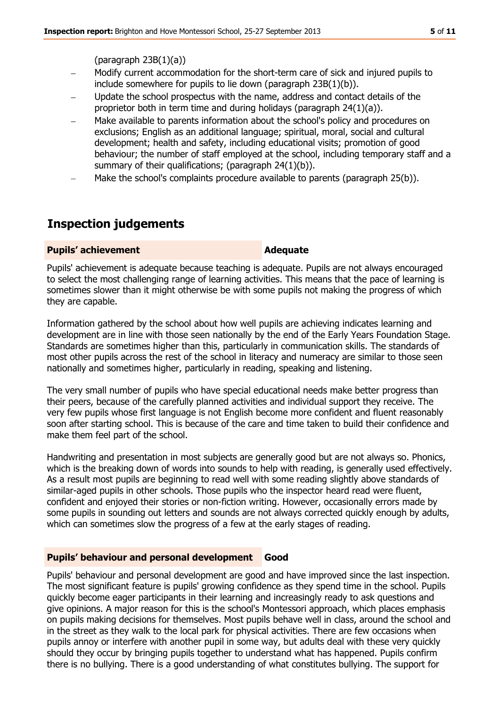#### $(paragraph 23B(1)(a))$

- Modify current accommodation for the short-term care of sick and injured pupils to include somewhere for pupils to lie down (paragraph 23B(1)(b)).
- Update the school prospectus with the name, address and contact details of the proprietor both in term time and during holidays (paragraph 24(1)(a)).
- Make available to parents information about the school's policy and procedures on exclusions; English as an additional language; spiritual, moral, social and cultural development; health and safety, including educational visits; promotion of good behaviour; the number of staff employed at the school, including temporary staff and a summary of their qualifications; (paragraph 24(1)(b)).
- Make the school's complaints procedure available to parents (paragraph 25(b)).

## **Inspection judgements**

#### **Pupils' achievement Adequate**

Pupils' achievement is adequate because teaching is adequate. Pupils are not always encouraged to select the most challenging range of learning activities. This means that the pace of learning is sometimes slower than it might otherwise be with some pupils not making the progress of which they are capable.

Information gathered by the school about how well pupils are achieving indicates learning and development are in line with those seen nationally by the end of the Early Years Foundation Stage. Standards are sometimes higher than this, particularly in communication skills. The standards of most other pupils across the rest of the school in literacy and numeracy are similar to those seen nationally and sometimes higher, particularly in reading, speaking and listening.

The very small number of pupils who have special educational needs make better progress than their peers, because of the carefully planned activities and individual support they receive. The very few pupils whose first language is not English become more confident and fluent reasonably soon after starting school. This is because of the care and time taken to build their confidence and make them feel part of the school.

Handwriting and presentation in most subjects are generally good but are not always so. Phonics, which is the breaking down of words into sounds to help with reading, is generally used effectively. As a result most pupils are beginning to read well with some reading slightly above standards of similar-aged pupils in other schools. Those pupils who the inspector heard read were fluent, confident and enjoyed their stories or non-fiction writing. However, occasionally errors made by some pupils in sounding out letters and sounds are not always corrected quickly enough by adults, which can sometimes slow the progress of a few at the early stages of reading.

#### **Pupils' behaviour and personal development Good**

Pupils' behaviour and personal development are good and have improved since the last inspection. The most significant feature is pupils' growing confidence as they spend time in the school. Pupils quickly become eager participants in their learning and increasingly ready to ask questions and give opinions. A major reason for this is the school's Montessori approach, which places emphasis on pupils making decisions for themselves. Most pupils behave well in class, around the school and in the street as they walk to the local park for physical activities. There are few occasions when pupils annoy or interfere with another pupil in some way, but adults deal with these very quickly should they occur by bringing pupils together to understand what has happened. Pupils confirm there is no bullying. There is a good understanding of what constitutes bullying. The support for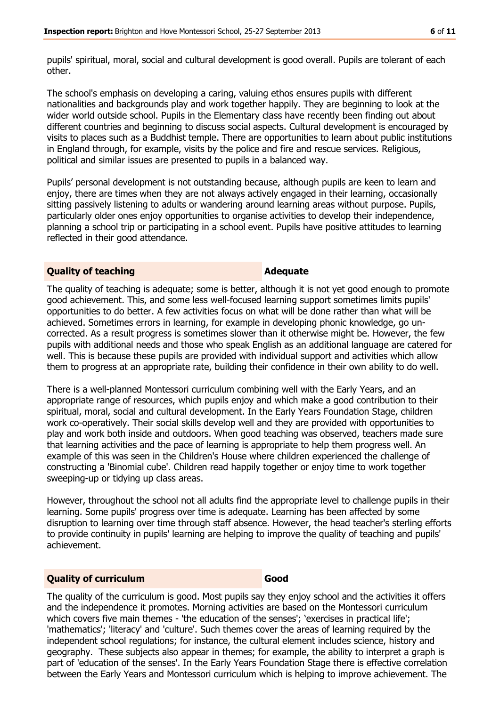pupils' spiritual, moral, social and cultural development is good overall. Pupils are tolerant of each other.

The school's emphasis on developing a caring, valuing ethos ensures pupils with different nationalities and backgrounds play and work together happily. They are beginning to look at the wider world outside school. Pupils in the Elementary class have recently been finding out about different countries and beginning to discuss social aspects. Cultural development is encouraged by visits to places such as a Buddhist temple. There are opportunities to learn about public institutions in England through, for example, visits by the police and fire and rescue services. Religious, political and similar issues are presented to pupils in a balanced way.

Pupils' personal development is not outstanding because, although pupils are keen to learn and enjoy, there are times when they are not always actively engaged in their learning, occasionally sitting passively listening to adults or wandering around learning areas without purpose. Pupils, particularly older ones enjoy opportunities to organise activities to develop their independence, planning a school trip or participating in a school event. Pupils have positive attitudes to learning reflected in their good attendance.

#### **Quality of teaching <b>Adequate Adequate**

The quality of teaching is adequate; some is better, although it is not yet good enough to promote good achievement. This, and some less well-focused learning support sometimes limits pupils' opportunities to do better. A few activities focus on what will be done rather than what will be achieved. Sometimes errors in learning, for example in developing phonic knowledge, go uncorrected. As a result progress is sometimes slower than it otherwise might be. However, the few pupils with additional needs and those who speak English as an additional language are catered for well. This is because these pupils are provided with individual support and activities which allow them to progress at an appropriate rate, building their confidence in their own ability to do well.

There is a well-planned Montessori curriculum combining well with the Early Years, and an appropriate range of resources, which pupils enjoy and which make a good contribution to their spiritual, moral, social and cultural development. In the Early Years Foundation Stage, children work co-operatively. Their social skills develop well and they are provided with opportunities to play and work both inside and outdoors. When good teaching was observed, teachers made sure that learning activities and the pace of learning is appropriate to help them progress well. An example of this was seen in the Children's House where children experienced the challenge of constructing a 'Binomial cube'. Children read happily together or enjoy time to work together sweeping-up or tidying up class areas.

However, throughout the school not all adults find the appropriate level to challenge pupils in their learning. Some pupils' progress over time is adequate. Learning has been affected by some disruption to learning over time through staff absence. However, the head teacher's sterling efforts to provide continuity in pupils' learning are helping to improve the quality of teaching and pupils' achievement.

#### **Quality of curriculum Good**

The quality of the curriculum is good. Most pupils say they enjoy school and the activities it offers and the independence it promotes. Morning activities are based on the Montessori curriculum which covers five main themes - 'the education of the senses'; 'exercises in practical life'; 'mathematics'; 'literacy' and 'culture'. Such themes cover the areas of learning required by the independent school regulations; for instance, the cultural element includes science, history and geography. These subjects also appear in themes; for example, the ability to interpret a graph is part of 'education of the senses'. In the Early Years Foundation Stage there is effective correlation between the Early Years and Montessori curriculum which is helping to improve achievement. The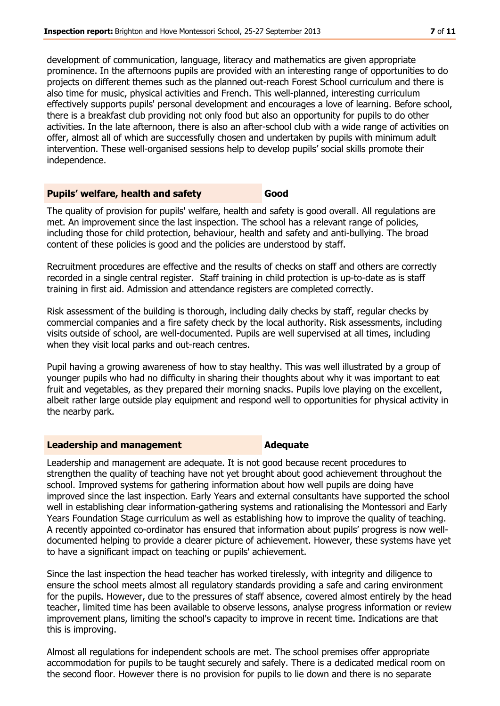development of communication, language, literacy and mathematics are given appropriate prominence. In the afternoons pupils are provided with an interesting range of opportunities to do projects on different themes such as the planned out-reach Forest School curriculum and there is also time for music, physical activities and French. This well-planned, interesting curriculum effectively supports pupils' personal development and encourages a love of learning. Before school, there is a breakfast club providing not only food but also an opportunity for pupils to do other activities. In the late afternoon, there is also an after-school club with a wide range of activities on offer, almost all of which are successfully chosen and undertaken by pupils with minimum adult intervention. These well-organised sessions help to develop pupils' social skills promote their independence.

#### **Pupils' welfare, health and safety <b>Good**

The quality of provision for pupils' welfare, health and safety is good overall. All regulations are met. An improvement since the last inspection. The school has a relevant range of policies, including those for child protection, behaviour, health and safety and anti-bullying. The broad content of these policies is good and the policies are understood by staff.

Recruitment procedures are effective and the results of checks on staff and others are correctly recorded in a single central register. Staff training in child protection is up-to-date as is staff training in first aid. Admission and attendance registers are completed correctly.

Risk assessment of the building is thorough, including daily checks by staff, regular checks by commercial companies and a fire safety check by the local authority. Risk assessments, including visits outside of school, are well-documented. Pupils are well supervised at all times, including when they visit local parks and out-reach centres.

Pupil having a growing awareness of how to stay healthy. This was well illustrated by a group of younger pupils who had no difficulty in sharing their thoughts about why it was important to eat fruit and vegetables, as they prepared their morning snacks. Pupils love playing on the excellent, albeit rather large outside play equipment and respond well to opportunities for physical activity in the nearby park.

#### **Leadership and management Adequate**

Leadership and management are adequate. It is not good because recent procedures to strengthen the quality of teaching have not yet brought about good achievement throughout the school. Improved systems for gathering information about how well pupils are doing have improved since the last inspection. Early Years and external consultants have supported the school well in establishing clear information-gathering systems and rationalising the Montessori and Early Years Foundation Stage curriculum as well as establishing how to improve the quality of teaching. A recently appointed co-ordinator has ensured that information about pupils' progress is now welldocumented helping to provide a clearer picture of achievement. However, these systems have yet to have a significant impact on teaching or pupils' achievement.

Since the last inspection the head teacher has worked tirelessly, with integrity and diligence to ensure the school meets almost all regulatory standards providing a safe and caring environment for the pupils. However, due to the pressures of staff absence, covered almost entirely by the head teacher, limited time has been available to observe lessons, analyse progress information or review improvement plans, limiting the school's capacity to improve in recent time. Indications are that this is improving.

Almost all regulations for independent schools are met. The school premises offer appropriate accommodation for pupils to be taught securely and safely. There is a dedicated medical room on the second floor. However there is no provision for pupils to lie down and there is no separate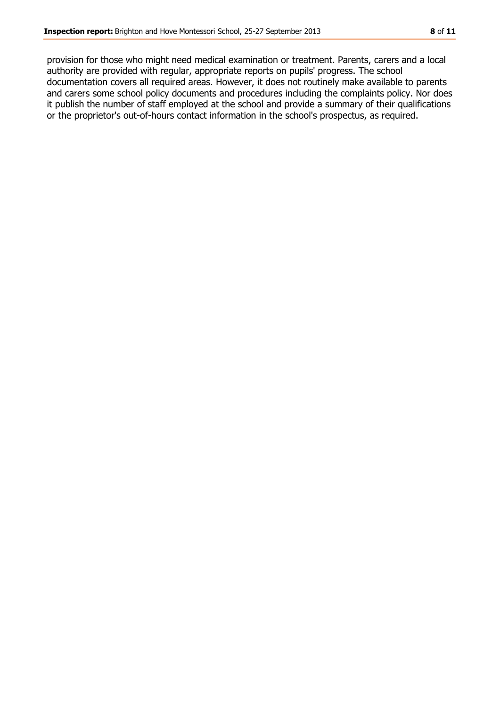provision for those who might need medical examination or treatment. Parents, carers and a local authority are provided with regular, appropriate reports on pupils' progress. The school documentation covers all required areas. However, it does not routinely make available to parents and carers some school policy documents and procedures including the complaints policy. Nor does it publish the number of staff employed at the school and provide a summary of their qualifications or the proprietor's out-of-hours contact information in the school's prospectus, as required.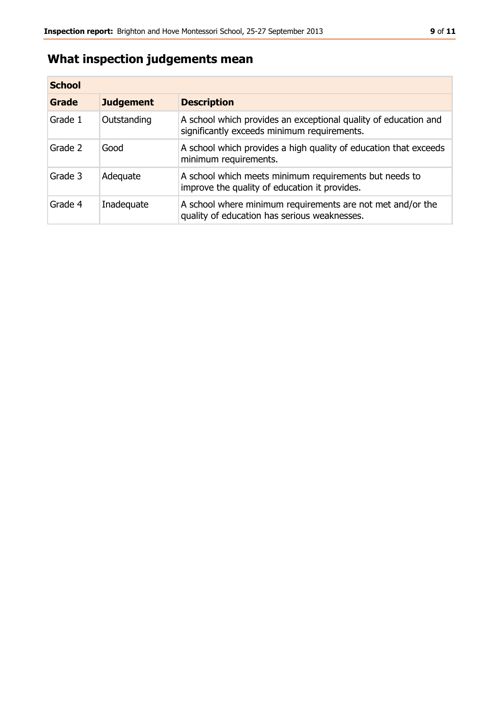## **What inspection judgements mean**

| <b>School</b> |                  |                                                                                                                |  |  |
|---------------|------------------|----------------------------------------------------------------------------------------------------------------|--|--|
| Grade         | <b>Judgement</b> | <b>Description</b>                                                                                             |  |  |
| Grade 1       | Outstanding      | A school which provides an exceptional quality of education and<br>significantly exceeds minimum requirements. |  |  |
| Grade 2       | Good             | A school which provides a high quality of education that exceeds<br>minimum requirements.                      |  |  |
| Grade 3       | Adequate         | A school which meets minimum requirements but needs to<br>improve the quality of education it provides.        |  |  |
| Grade 4       | Inadequate       | A school where minimum requirements are not met and/or the<br>quality of education has serious weaknesses.     |  |  |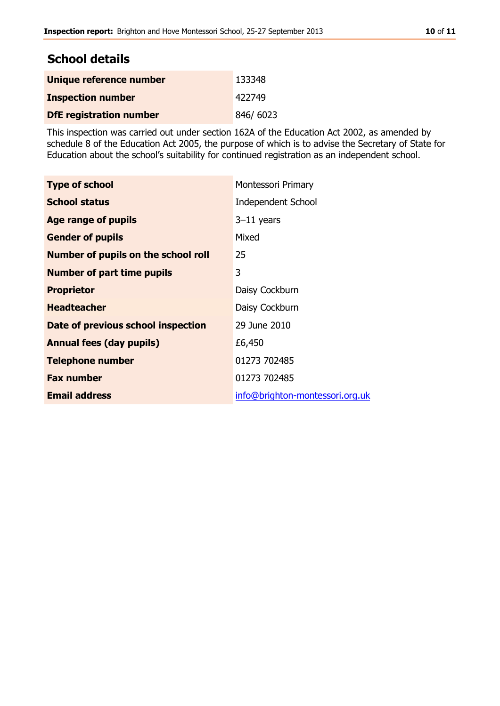## **School details**

| Unique reference number        | 133348   |
|--------------------------------|----------|
| <b>Inspection number</b>       | 422749   |
| <b>DfE</b> registration number | 846/6023 |

This inspection was carried out under section 162A of the Education Act 2002, as amended by schedule 8 of the Education Act 2005, the purpose of which is to advise the Secretary of State for Education about the school's suitability for continued registration as an independent school.

| <b>Type of school</b>               | Montessori Primary              |
|-------------------------------------|---------------------------------|
| <b>School status</b>                | <b>Independent School</b>       |
| <b>Age range of pupils</b>          | $3-11$ years                    |
| <b>Gender of pupils</b>             | Mixed                           |
| Number of pupils on the school roll | 25                              |
| <b>Number of part time pupils</b>   | 3                               |
| <b>Proprietor</b>                   | Daisy Cockburn                  |
| <b>Headteacher</b>                  | Daisy Cockburn                  |
| Date of previous school inspection  | 29 June 2010                    |
| <b>Annual fees (day pupils)</b>     | £6,450                          |
| <b>Telephone number</b>             | 01273 702485                    |
| <b>Fax number</b>                   | 01273 702485                    |
| <b>Email address</b>                | info@brighton-montessori.org.uk |